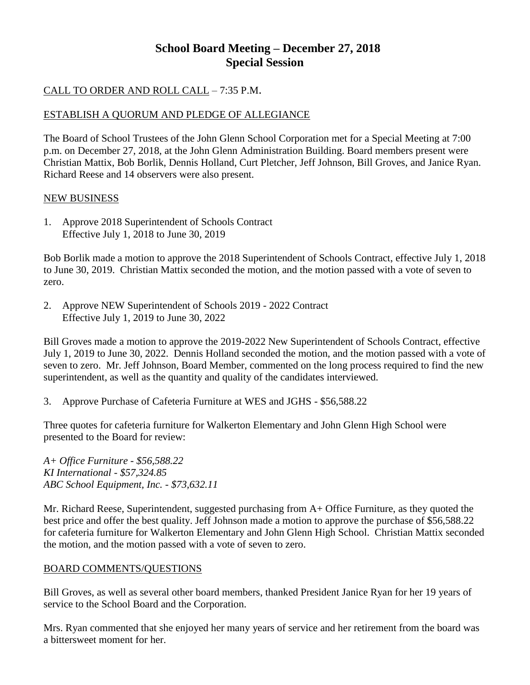# **School Board Meeting – December 27, 2018 Special Session**

## CALL TO ORDER AND ROLL CALL – 7:35 P.M.

### ESTABLISH A QUORUM AND PLEDGE OF ALLEGIANCE

The Board of School Trustees of the John Glenn School Corporation met for a Special Meeting at 7:00 p.m. on December 27, 2018, at the John Glenn Administration Building. Board members present were Christian Mattix, Bob Borlik, Dennis Holland, Curt Pletcher, Jeff Johnson, Bill Groves, and Janice Ryan. Richard Reese and 14 observers were also present.

#### NEW BUSINESS

1. Approve 2018 Superintendent of Schools Contract Effective July 1, 2018 to June 30, 2019

Bob Borlik made a motion to approve the 2018 Superintendent of Schools Contract, effective July 1, 2018 to June 30, 2019. Christian Mattix seconded the motion, and the motion passed with a vote of seven to zero.

2. Approve NEW Superintendent of Schools 2019 - 2022 Contract Effective July 1, 2019 to June 30, 2022

Bill Groves made a motion to approve the 2019-2022 New Superintendent of Schools Contract, effective July 1, 2019 to June 30, 2022. Dennis Holland seconded the motion, and the motion passed with a vote of seven to zero. Mr. Jeff Johnson, Board Member, commented on the long process required to find the new superintendent, as well as the quantity and quality of the candidates interviewed.

3. Approve Purchase of Cafeteria Furniture at WES and JGHS - \$56,588.22

Three quotes for cafeteria furniture for Walkerton Elementary and John Glenn High School were presented to the Board for review:

*A+ Office Furniture - \$56,588.22 KI International - \$57,324.85 ABC School Equipment, Inc. - \$73,632.11*

Mr. Richard Reese, Superintendent, suggested purchasing from A+ Office Furniture, as they quoted the best price and offer the best quality. Jeff Johnson made a motion to approve the purchase of \$56,588.22 for cafeteria furniture for Walkerton Elementary and John Glenn High School. Christian Mattix seconded the motion, and the motion passed with a vote of seven to zero.

### BOARD COMMENTS/QUESTIONS

Bill Groves, as well as several other board members, thanked President Janice Ryan for her 19 years of service to the School Board and the Corporation.

Mrs. Ryan commented that she enjoyed her many years of service and her retirement from the board was a bittersweet moment for her.